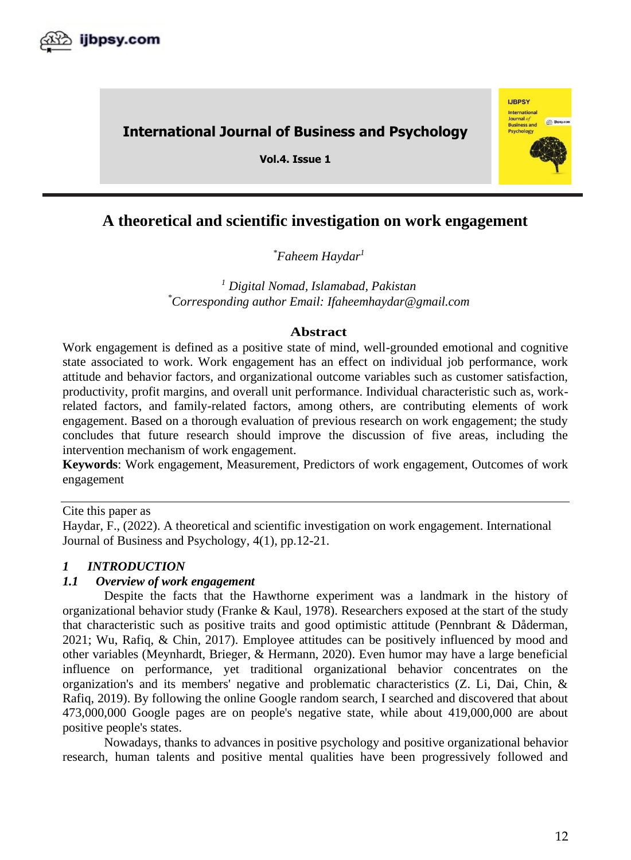

# **International Journal of Business and Psychology**

**Vol.4. Issue 1** 



# *\*Faheem Haydar 1*

*<sup>1</sup> Digital Nomad, Islamabad, Pakistan \*Corresponding author Email: Ifaheemhaydar@gmail.com*

# **Abstract**

Work engagement is defined as a positive state of mind, well-grounded emotional and cognitive state associated to work. Work engagement has an effect on individual job performance, work attitude and behavior factors, and organizational outcome variables such as customer satisfaction, productivity, profit margins, and overall unit performance. Individual characteristic such as, workrelated factors, and family-related factors, among others, are contributing elements of work engagement. Based on a thorough evaluation of previous research on work engagement; the study concludes that future research should improve the discussion of five areas, including the intervention mechanism of work engagement.

**Keywords**: Work engagement, Measurement, Predictors of work engagement, Outcomes of work engagement

Cite this paper as

Haydar, F., (2022). A theoretical and scientific investigation on work engagement. International Journal of Business and Psychology, 4(1), pp.12-21.

# *1 INTRODUCTION*

# *1.1 Overview of work engagement*

Despite the facts that the Hawthorne experiment was a landmark in the history of organizational behavior study (Franke & Kaul, 1978). Researchers exposed at the start of the study that characteristic such as positive traits and good optimistic attitude (Pennbrant & Dåderman, 2021; Wu, Rafiq, & Chin, 2017). Employee attitudes can be positively influenced by mood and other variables (Meynhardt, Brieger, & Hermann, 2020). Even humor may have a large beneficial influence on performance, yet traditional organizational behavior concentrates on the organization's and its members' negative and problematic characteristics (Z. Li, Dai, Chin, & Rafiq, 2019). By following the online Google random search, I searched and discovered that about 473,000,000 Google pages are on people's negative state, while about 419,000,000 are about positive people's states.

Nowadays, thanks to advances in positive psychology and positive organizational behavior research, human talents and positive mental qualities have been progressively followed and

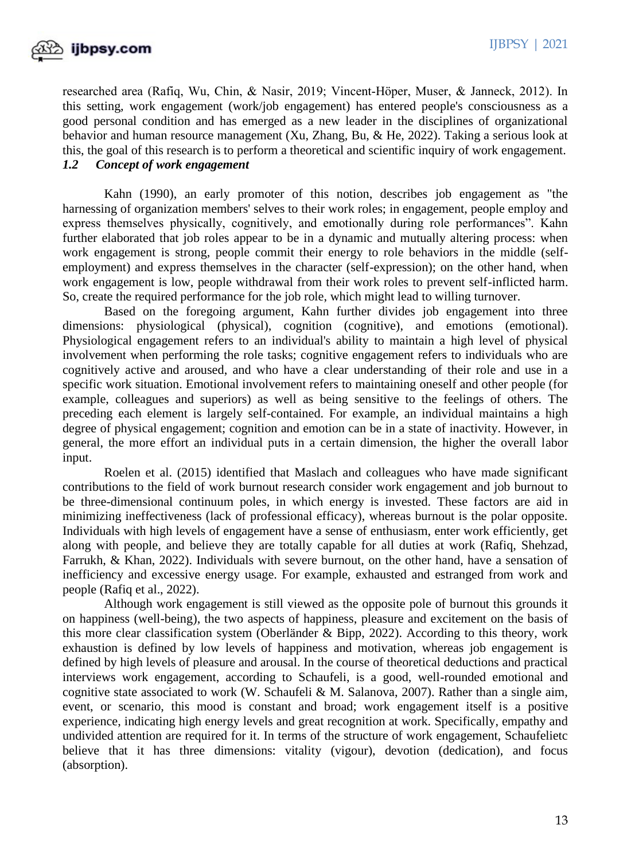

researched area (Rafiq, Wu, Chin, & Nasir, 2019; Vincent‐Höper, Muser, & Janneck, 2012). In this setting, work engagement (work/job engagement) has entered people's consciousness as a good personal condition and has emerged as a new leader in the disciplines of organizational behavior and human resource management (Xu, Zhang, Bu, & He, 2022). Taking a serious look at this, the goal of this research is to perform a theoretical and scientific inquiry of work engagement. *1.2 Concept of work engagement*

Kahn (1990), an early promoter of this notion, describes job engagement as "the harnessing of organization members' selves to their work roles; in engagement, people employ and express themselves physically, cognitively, and emotionally during role performances". Kahn further elaborated that job roles appear to be in a dynamic and mutually altering process: when work engagement is strong, people commit their energy to role behaviors in the middle (selfemployment) and express themselves in the character (self-expression); on the other hand, when work engagement is low, people withdrawal from their work roles to prevent self-inflicted harm. So, create the required performance for the job role, which might lead to willing turnover.

Based on the foregoing argument, Kahn further divides job engagement into three dimensions: physiological (physical), cognition (cognitive), and emotions (emotional). Physiological engagement refers to an individual's ability to maintain a high level of physical involvement when performing the role tasks; cognitive engagement refers to individuals who are cognitively active and aroused, and who have a clear understanding of their role and use in a specific work situation. Emotional involvement refers to maintaining oneself and other people (for example, colleagues and superiors) as well as being sensitive to the feelings of others. The preceding each element is largely self-contained. For example, an individual maintains a high degree of physical engagement; cognition and emotion can be in a state of inactivity. However, in general, the more effort an individual puts in a certain dimension, the higher the overall labor input.

Roelen et al. (2015) identified that Maslach and colleagues who have made significant contributions to the field of work burnout research consider work engagement and job burnout to be three-dimensional continuum poles, in which energy is invested. These factors are aid in minimizing ineffectiveness (lack of professional efficacy), whereas burnout is the polar opposite. Individuals with high levels of engagement have a sense of enthusiasm, enter work efficiently, get along with people, and believe they are totally capable for all duties at work (Rafiq, Shehzad, Farrukh, & Khan, 2022). Individuals with severe burnout, on the other hand, have a sensation of inefficiency and excessive energy usage. For example, exhausted and estranged from work and people (Rafiq et al., 2022).

Although work engagement is still viewed as the opposite pole of burnout this grounds it on happiness (well-being), the two aspects of happiness, pleasure and excitement on the basis of this more clear classification system (Oberländer & Bipp, 2022). According to this theory, work exhaustion is defined by low levels of happiness and motivation, whereas job engagement is defined by high levels of pleasure and arousal. In the course of theoretical deductions and practical interviews work engagement, according to Schaufeli, is a good, well-rounded emotional and cognitive state associated to work (W. Schaufeli & M. Salanova, 2007). Rather than a single aim, event, or scenario, this mood is constant and broad; work engagement itself is a positive experience, indicating high energy levels and great recognition at work. Specifically, empathy and undivided attention are required for it. In terms of the structure of work engagement, Schaufelietc believe that it has three dimensions: vitality (vigour), devotion (dedication), and focus (absorption).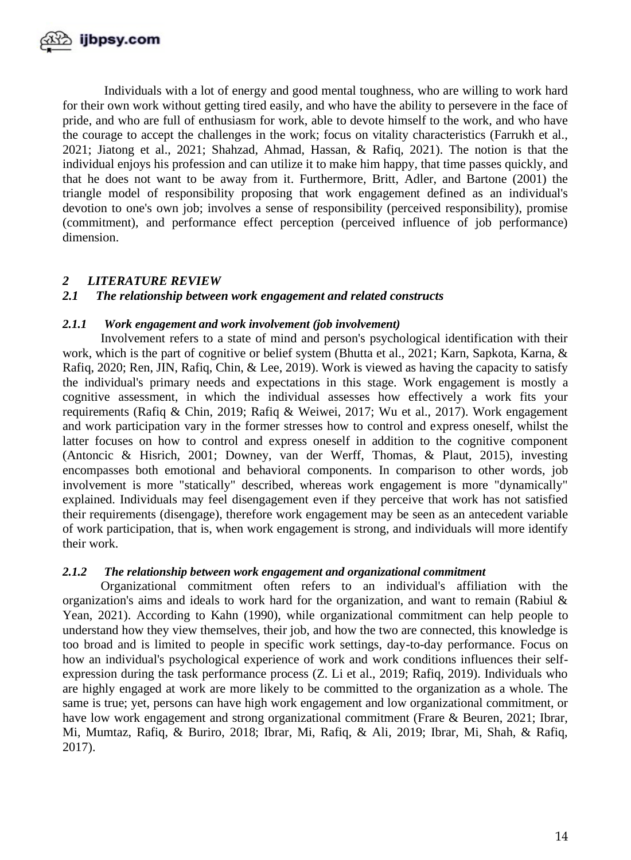

Individuals with a lot of energy and good mental toughness, who are willing to work hard for their own work without getting tired easily, and who have the ability to persevere in the face of pride, and who are full of enthusiasm for work, able to devote himself to the work, and who have the courage to accept the challenges in the work; focus on vitality characteristics (Farrukh et al., 2021; Jiatong et al., 2021; Shahzad, Ahmad, Hassan, & Rafiq, 2021). The notion is that the individual enjoys his profession and can utilize it to make him happy, that time passes quickly, and that he does not want to be away from it. Furthermore, Britt, Adler, and Bartone (2001) the triangle model of responsibility proposing that work engagement defined as an individual's devotion to one's own job; involves a sense of responsibility (perceived responsibility), promise (commitment), and performance effect perception (perceived influence of job performance) dimension.

# *2 LITERATURE REVIEW*

# *2.1 The relationship between work engagement and related constructs*

## *2.1.1 Work engagement and work involvement (job involvement)*

Involvement refers to a state of mind and person's psychological identification with their work, which is the part of cognitive or belief system (Bhutta et al., 2021; Karn, Sapkota, Karna, & Rafiq, 2020; Ren, JIN, Rafiq, Chin, & Lee, 2019). Work is viewed as having the capacity to satisfy the individual's primary needs and expectations in this stage. Work engagement is mostly a cognitive assessment, in which the individual assesses how effectively a work fits your requirements (Rafiq & Chin, 2019; Rafiq & Weiwei, 2017; Wu et al., 2017). Work engagement and work participation vary in the former stresses how to control and express oneself, whilst the latter focuses on how to control and express oneself in addition to the cognitive component (Antoncic & Hisrich, 2001; Downey, van der Werff, Thomas, & Plaut, 2015), investing encompasses both emotional and behavioral components. In comparison to other words, job involvement is more "statically" described, whereas work engagement is more "dynamically" explained. Individuals may feel disengagement even if they perceive that work has not satisfied their requirements (disengage), therefore work engagement may be seen as an antecedent variable of work participation, that is, when work engagement is strong, and individuals will more identify their work.

## *2.1.2 The relationship between work engagement and organizational commitment*

Organizational commitment often refers to an individual's affiliation with the organization's aims and ideals to work hard for the organization, and want to remain (Rabiul  $\&$ Yean, 2021). According to Kahn (1990), while organizational commitment can help people to understand how they view themselves, their job, and how the two are connected, this knowledge is too broad and is limited to people in specific work settings, day-to-day performance. Focus on how an individual's psychological experience of work and work conditions influences their selfexpression during the task performance process (Z. Li et al., 2019; Rafiq, 2019). Individuals who are highly engaged at work are more likely to be committed to the organization as a whole. The same is true; yet, persons can have high work engagement and low organizational commitment, or have low work engagement and strong organizational commitment (Frare & Beuren, 2021; Ibrar, Mi, Mumtaz, Rafiq, & Buriro, 2018; Ibrar, Mi, Rafiq, & Ali, 2019; Ibrar, Mi, Shah, & Rafiq, 2017).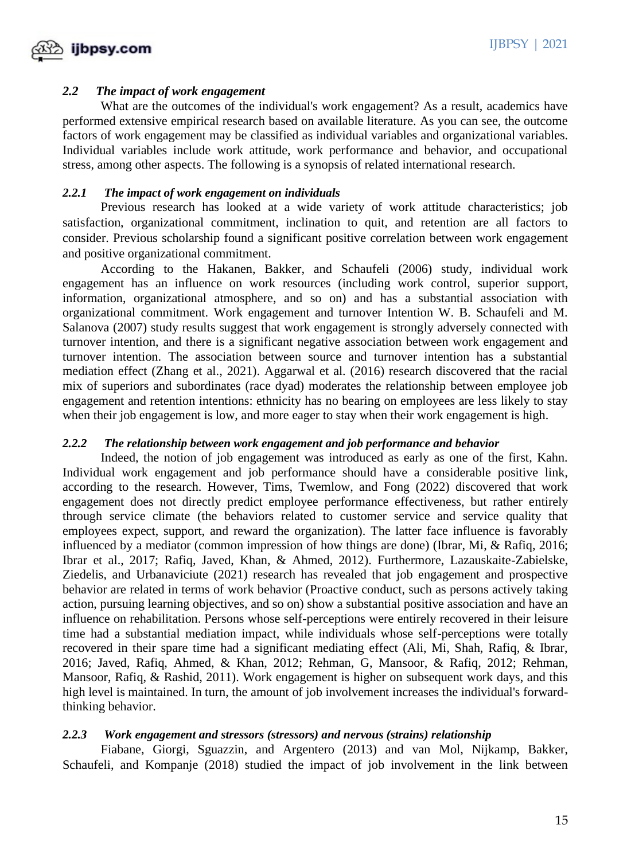

# *2.2 The impact of work engagement*

What are the outcomes of the individual's work engagement? As a result, academics have performed extensive empirical research based on available literature. As you can see, the outcome factors of work engagement may be classified as individual variables and organizational variables. Individual variables include work attitude, work performance and behavior, and occupational stress, among other aspects. The following is a synopsis of related international research.

# *2.2.1 The impact of work engagement on individuals*

Previous research has looked at a wide variety of work attitude characteristics; job satisfaction, organizational commitment, inclination to quit, and retention are all factors to consider. Previous scholarship found a significant positive correlation between work engagement and positive organizational commitment.

According to the Hakanen, Bakker, and Schaufeli (2006) study, individual work engagement has an influence on work resources (including work control, superior support, information, organizational atmosphere, and so on) and has a substantial association with organizational commitment. Work engagement and turnover Intention W. B. Schaufeli and M. Salanova (2007) study results suggest that work engagement is strongly adversely connected with turnover intention, and there is a significant negative association between work engagement and turnover intention. The association between source and turnover intention has a substantial mediation effect (Zhang et al., 2021). Aggarwal et al. (2016) research discovered that the racial mix of superiors and subordinates (race dyad) moderates the relationship between employee job engagement and retention intentions: ethnicity has no bearing on employees are less likely to stay when their job engagement is low, and more eager to stay when their work engagement is high.

## *2.2.2 The relationship between work engagement and job performance and behavior*

Indeed, the notion of job engagement was introduced as early as one of the first, Kahn. Individual work engagement and job performance should have a considerable positive link, according to the research. However, Tims, Twemlow, and Fong (2022) discovered that work engagement does not directly predict employee performance effectiveness, but rather entirely through service climate (the behaviors related to customer service and service quality that employees expect, support, and reward the organization). The latter face influence is favorably influenced by a mediator (common impression of how things are done) (Ibrar, Mi, & Rafiq, 2016; Ibrar et al., 2017; Rafiq, Javed, Khan, & Ahmed, 2012). Furthermore, Lazauskaite-Zabielske, Ziedelis, and Urbanaviciute (2021) research has revealed that job engagement and prospective behavior are related in terms of work behavior (Proactive conduct, such as persons actively taking action, pursuing learning objectives, and so on) show a substantial positive association and have an influence on rehabilitation. Persons whose self-perceptions were entirely recovered in their leisure time had a substantial mediation impact, while individuals whose self-perceptions were totally recovered in their spare time had a significant mediating effect (Ali, Mi, Shah, Rafiq, & Ibrar, 2016; Javed, Rafiq, Ahmed, & Khan, 2012; Rehman, G, Mansoor, & Rafiq, 2012; Rehman, Mansoor, Rafiq, & Rashid, 2011). Work engagement is higher on subsequent work days, and this high level is maintained. In turn, the amount of job involvement increases the individual's forwardthinking behavior.

## *2.2.3 Work engagement and stressors (stressors) and nervous (strains) relationship*

Fiabane, Giorgi, Sguazzin, and Argentero (2013) and van Mol, Nijkamp, Bakker, Schaufeli, and Kompanje (2018) studied the impact of job involvement in the link between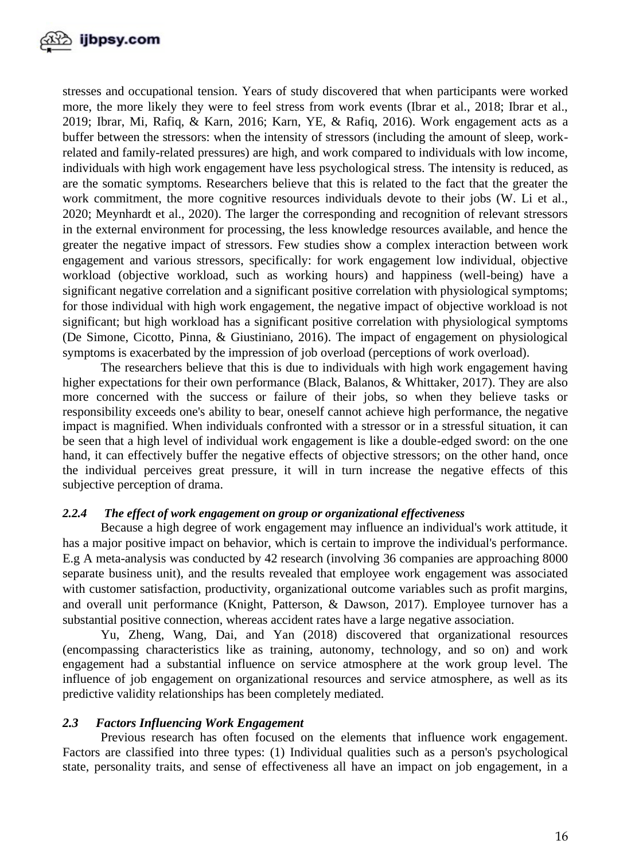

stresses and occupational tension. Years of study discovered that when participants were worked more, the more likely they were to feel stress from work events (Ibrar et al., 2018; Ibrar et al., 2019; Ibrar, Mi, Rafiq, & Karn, 2016; Karn, YE, & Rafiq, 2016). Work engagement acts as a buffer between the stressors: when the intensity of stressors (including the amount of sleep, workrelated and family-related pressures) are high, and work compared to individuals with low income, individuals with high work engagement have less psychological stress. The intensity is reduced, as are the somatic symptoms. Researchers believe that this is related to the fact that the greater the work commitment, the more cognitive resources individuals devote to their jobs (W. Li et al., 2020; Meynhardt et al., 2020). The larger the corresponding and recognition of relevant stressors in the external environment for processing, the less knowledge resources available, and hence the greater the negative impact of stressors. Few studies show a complex interaction between work engagement and various stressors, specifically: for work engagement low individual, objective workload (objective workload, such as working hours) and happiness (well-being) have a significant negative correlation and a significant positive correlation with physiological symptoms; for those individual with high work engagement, the negative impact of objective workload is not significant; but high workload has a significant positive correlation with physiological symptoms (De Simone, Cicotto, Pinna, & Giustiniano, 2016). The impact of engagement on physiological symptoms is exacerbated by the impression of job overload (perceptions of work overload).

The researchers believe that this is due to individuals with high work engagement having higher expectations for their own performance (Black, Balanos, & Whittaker, 2017). They are also more concerned with the success or failure of their jobs, so when they believe tasks or responsibility exceeds one's ability to bear, oneself cannot achieve high performance, the negative impact is magnified. When individuals confronted with a stressor or in a stressful situation, it can be seen that a high level of individual work engagement is like a double-edged sword: on the one hand, it can effectively buffer the negative effects of objective stressors; on the other hand, once the individual perceives great pressure, it will in turn increase the negative effects of this subjective perception of drama.

## *2.2.4 The effect of work engagement on group or organizational effectiveness*

Because a high degree of work engagement may influence an individual's work attitude, it has a major positive impact on behavior, which is certain to improve the individual's performance. E.g A meta-analysis was conducted by 42 research (involving 36 companies are approaching 8000 separate business unit), and the results revealed that employee work engagement was associated with customer satisfaction, productivity, organizational outcome variables such as profit margins, and overall unit performance (Knight, Patterson, & Dawson, 2017). Employee turnover has a substantial positive connection, whereas accident rates have a large negative association.

Yu, Zheng, Wang, Dai, and Yan (2018) discovered that organizational resources (encompassing characteristics like as training, autonomy, technology, and so on) and work engagement had a substantial influence on service atmosphere at the work group level. The influence of job engagement on organizational resources and service atmosphere, as well as its predictive validity relationships has been completely mediated.

## *2.3 Factors Influencing Work Engagement*

Previous research has often focused on the elements that influence work engagement. Factors are classified into three types: (1) Individual qualities such as a person's psychological state, personality traits, and sense of effectiveness all have an impact on job engagement, in a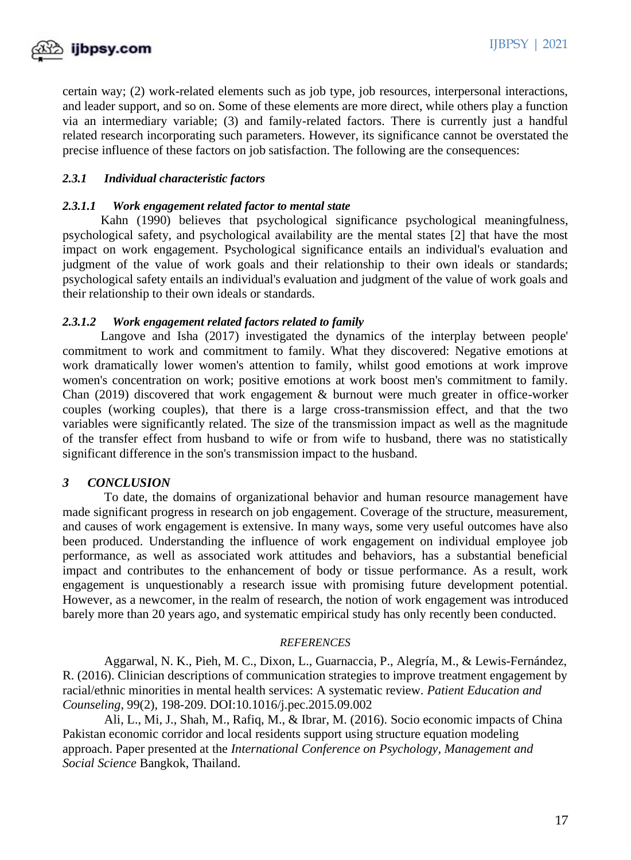

certain way; (2) work-related elements such as job type, job resources, interpersonal interactions, and leader support, and so on. Some of these elements are more direct, while others play a function via an intermediary variable; (3) and family-related factors. There is currently just a handful related research incorporating such parameters. However, its significance cannot be overstated the precise influence of these factors on job satisfaction. The following are the consequences:

# *2.3.1 Individual characteristic factors*

#### *2.3.1.1 Work engagement related factor to mental state*

Kahn (1990) believes that psychological significance psychological meaningfulness, psychological safety, and psychological availability are the mental states [2] that have the most impact on work engagement. Psychological significance entails an individual's evaluation and judgment of the value of work goals and their relationship to their own ideals or standards; psychological safety entails an individual's evaluation and judgment of the value of work goals and their relationship to their own ideals or standards.

## *2.3.1.2 Work engagement related factors related to family*

Langove and Isha (2017) investigated the dynamics of the interplay between people' commitment to work and commitment to family. What they discovered: Negative emotions at work dramatically lower women's attention to family, whilst good emotions at work improve women's concentration on work; positive emotions at work boost men's commitment to family. Chan (2019) discovered that work engagement & burnout were much greater in office-worker couples (working couples), that there is a large cross-transmission effect, and that the two variables were significantly related. The size of the transmission impact as well as the magnitude of the transfer effect from husband to wife or from wife to husband, there was no statistically significant difference in the son's transmission impact to the husband.

## *3 CONCLUSION*

To date, the domains of organizational behavior and human resource management have made significant progress in research on job engagement. Coverage of the structure, measurement, and causes of work engagement is extensive. In many ways, some very useful outcomes have also been produced. Understanding the influence of work engagement on individual employee job performance, as well as associated work attitudes and behaviors, has a substantial beneficial impact and contributes to the enhancement of body or tissue performance. As a result, work engagement is unquestionably a research issue with promising future development potential. However, as a newcomer, in the realm of research, the notion of work engagement was introduced barely more than 20 years ago, and systematic empirical study has only recently been conducted.

#### *REFERENCES*

Aggarwal, N. K., Pieh, M. C., Dixon, L., Guarnaccia, P., Alegría, M., & Lewis-Fernández, R. (2016). Clinician descriptions of communication strategies to improve treatment engagement by racial/ethnic minorities in mental health services: A systematic review. *Patient Education and Counseling*, 99(2), 198-209. DOI:10.1016/j.pec.2015.09.002

Ali, L., Mi, J., Shah, M., Rafiq, M., & Ibrar, M. (2016). Socio economic impacts of China Pakistan economic corridor and local residents support using structure equation modeling approach. Paper presented at the *International Conference on Psychology, Management and Social Science* Bangkok, Thailand.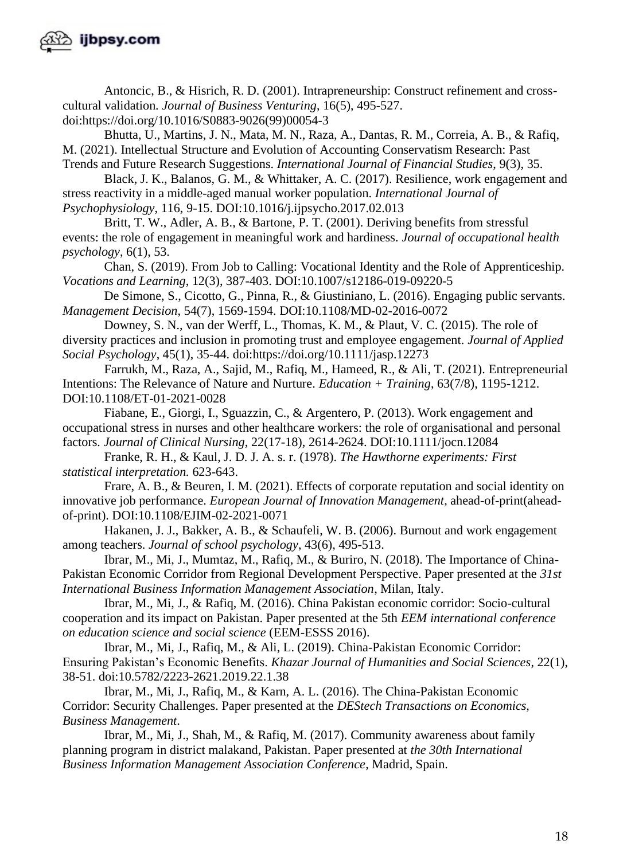

Antoncic, B., & Hisrich, R. D. (2001). Intrapreneurship: Construct refinement and crosscultural validation. *Journal of Business Venturing*, 16(5), 495-527. doi:https://doi.org/10.1016/S0883-9026(99)00054-3

Bhutta, U., Martins, J. N., Mata, M. N., Raza, A., Dantas, R. M., Correia, A. B., & Rafiq, M. (2021). Intellectual Structure and Evolution of Accounting Conservatism Research: Past Trends and Future Research Suggestions. *International Journal of Financial Studies*, 9(3), 35.

Black, J. K., Balanos, G. M., & Whittaker, A. C. (2017). Resilience, work engagement and stress reactivity in a middle-aged manual worker population. *International Journal of Psychophysiology*, 116, 9-15. DOI:10.1016/j.ijpsycho.2017.02.013

Britt, T. W., Adler, A. B., & Bartone, P. T. (2001). Deriving benefits from stressful events: the role of engagement in meaningful work and hardiness. *Journal of occupational health psychology*, 6(1), 53.

Chan, S. (2019). From Job to Calling: Vocational Identity and the Role of Apprenticeship. *Vocations and Learning*, 12(3), 387-403. DOI:10.1007/s12186-019-09220-5

De Simone, S., Cicotto, G., Pinna, R., & Giustiniano, L. (2016). Engaging public servants. *Management Decision*, 54(7), 1569-1594. DOI:10.1108/MD-02-2016-0072

Downey, S. N., van der Werff, L., Thomas, K. M., & Plaut, V. C. (2015). The role of diversity practices and inclusion in promoting trust and employee engagement. *Journal of Applied Social Psychology*, 45(1), 35-44. doi:https://doi.org/10.1111/jasp.12273

Farrukh, M., Raza, A., Sajid, M., Rafiq, M., Hameed, R., & Ali, T. (2021). Entrepreneurial Intentions: The Relevance of Nature and Nurture. *Education + Training*, 63(7/8), 1195-1212. DOI:10.1108/ET-01-2021-0028

Fiabane, E., Giorgi, I., Sguazzin, C., & Argentero, P. (2013). Work engagement and occupational stress in nurses and other healthcare workers: the role of organisational and personal factors. *Journal of Clinical Nursing*, 22(17-18), 2614-2624. DOI:10.1111/jocn.12084

Franke, R. H., & Kaul, J. D. J. A. s. r. (1978). *The Hawthorne experiments: First statistical interpretation.* 623-643.

Frare, A. B., & Beuren, I. M. (2021). Effects of corporate reputation and social identity on innovative job performance. *European Journal of Innovation Management*, ahead-of-print(aheadof-print). DOI:10.1108/EJIM-02-2021-0071

Hakanen, J. J., Bakker, A. B., & Schaufeli, W. B. (2006). Burnout and work engagement among teachers. *Journal of school psychology*, 43(6), 495-513.

Ibrar, M., Mi, J., Mumtaz, M., Rafiq, M., & Buriro, N. (2018). The Importance of China-Pakistan Economic Corridor from Regional Development Perspective. Paper presented at the *31st International Business Information Management Association*, Milan, Italy.

Ibrar, M., Mi, J., & Rafiq, M. (2016). China Pakistan economic corridor: Socio-cultural cooperation and its impact on Pakistan. Paper presented at the 5th *EEM international conference on education science and social science* (EEM-ESSS 2016).

Ibrar, M., Mi, J., Rafiq, M., & Ali, L. (2019). China-Pakistan Economic Corridor: Ensuring Pakistan's Economic Benefits. *Khazar Journal of Humanities and Social Sciences*, 22(1), 38-51. doi:10.5782/2223-2621.2019.22.1.38

Ibrar, M., Mi, J., Rafiq, M., & Karn, A. L. (2016). The China-Pakistan Economic Corridor: Security Challenges. Paper presented at the *DEStech Transactions on Economics, Business Management*.

Ibrar, M., Mi, J., Shah, M., & Rafiq, M. (2017). Community awareness about family planning program in district malakand, Pakistan. Paper presented at *the 30th International Business Information Management Association Conference*, Madrid, Spain.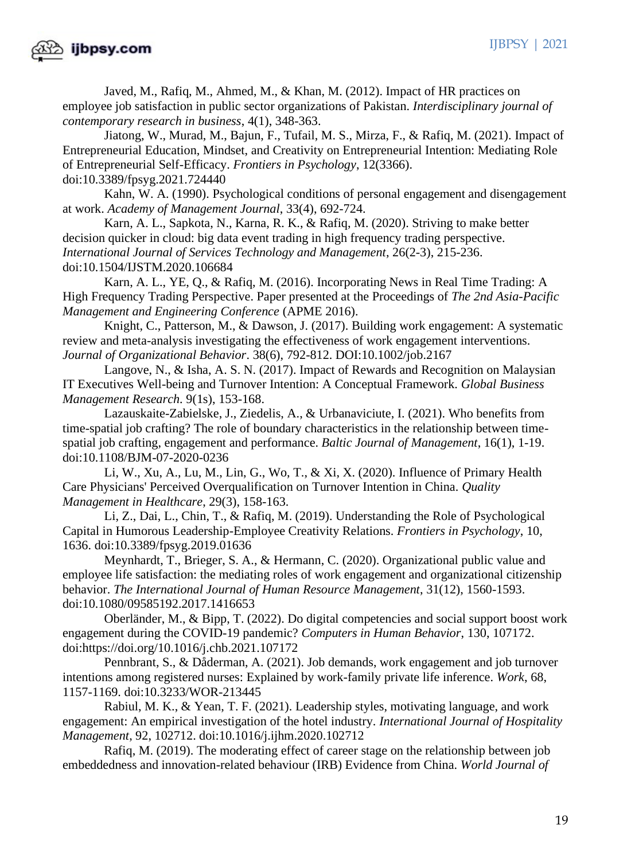

Javed, M., Rafiq, M., Ahmed, M., & Khan, M. (2012). Impact of HR practices on employee job satisfaction in public sector organizations of Pakistan. *Interdisciplinary journal of contemporary research in business*, 4(1), 348-363.

Jiatong, W., Murad, M., Bajun, F., Tufail, M. S., Mirza, F., & Rafiq, M. (2021). Impact of Entrepreneurial Education, Mindset, and Creativity on Entrepreneurial Intention: Mediating Role of Entrepreneurial Self-Efficacy. *Frontiers in Psychology*, 12(3366). doi:10.3389/fpsyg.2021.724440

Kahn, W. A. (1990). Psychological conditions of personal engagement and disengagement at work. *Academy of Management Journal*, 33(4), 692-724.

Karn, A. L., Sapkota, N., Karna, R. K., & Rafiq, M. (2020). Striving to make better decision quicker in cloud: big data event trading in high frequency trading perspective. *International Journal of Services Technology and Management*, 26(2-3), 215-236. doi:10.1504/IJSTM.2020.106684

Karn, A. L., YE, Q., & Rafiq, M. (2016). Incorporating News in Real Time Trading: A High Frequency Trading Perspective. Paper presented at the Proceedings of *The 2nd Asia-Pacific Management and Engineering Conference* (APME 2016).

Knight, C., Patterson, M., & Dawson, J. (2017). Building work engagement: A systematic review and meta-analysis investigating the effectiveness of work engagement interventions. *Journal of Organizational Behavior*. 38(6), 792-812. DOI:10.1002/job.2167

Langove, N., & Isha, A. S. N. (2017). Impact of Rewards and Recognition on Malaysian IT Executives Well-being and Turnover Intention: A Conceptual Framework. *Global Business Management Research.* 9(1s), 153-168.

Lazauskaite-Zabielske, J., Ziedelis, A., & Urbanaviciute, I. (2021). Who benefits from time-spatial job crafting? The role of boundary characteristics in the relationship between timespatial job crafting, engagement and performance. *Baltic Journal of Management*, 16(1), 1-19. doi:10.1108/BJM-07-2020-0236

Li, W., Xu, A., Lu, M., Lin, G., Wo, T., & Xi, X. (2020). Influence of Primary Health Care Physicians' Perceived Overqualification on Turnover Intention in China. *Quality Management in Healthcare*, 29(3), 158-163.

Li, Z., Dai, L., Chin, T., & Rafiq, M. (2019). Understanding the Role of Psychological Capital in Humorous Leadership-Employee Creativity Relations. *Frontiers in Psychology*, 10, 1636. doi:10.3389/fpsyg.2019.01636

Meynhardt, T., Brieger, S. A., & Hermann, C. (2020). Organizational public value and employee life satisfaction: the mediating roles of work engagement and organizational citizenship behavior. *The International Journal of Human Resource Management*, 31(12), 1560-1593. doi:10.1080/09585192.2017.1416653

Oberländer, M., & Bipp, T. (2022). Do digital competencies and social support boost work engagement during the COVID-19 pandemic? *Computers in Human Behavior*, 130, 107172. doi:https://doi.org/10.1016/j.chb.2021.107172

Pennbrant, S., & Dåderman, A. (2021). Job demands, work engagement and job turnover intentions among registered nurses: Explained by work-family private life inference. *Work*, 68, 1157-1169. doi:10.3233/WOR-213445

Rabiul, M. K., & Yean, T. F. (2021). Leadership styles, motivating language, and work engagement: An empirical investigation of the hotel industry. *International Journal of Hospitality Management*, 92, 102712. doi:10.1016/j.ijhm.2020.102712

 Rafiq, M. (2019). The moderating effect of career stage on the relationship between job embeddedness and innovation-related behaviour (IRB) Evidence from China. *World Journal of*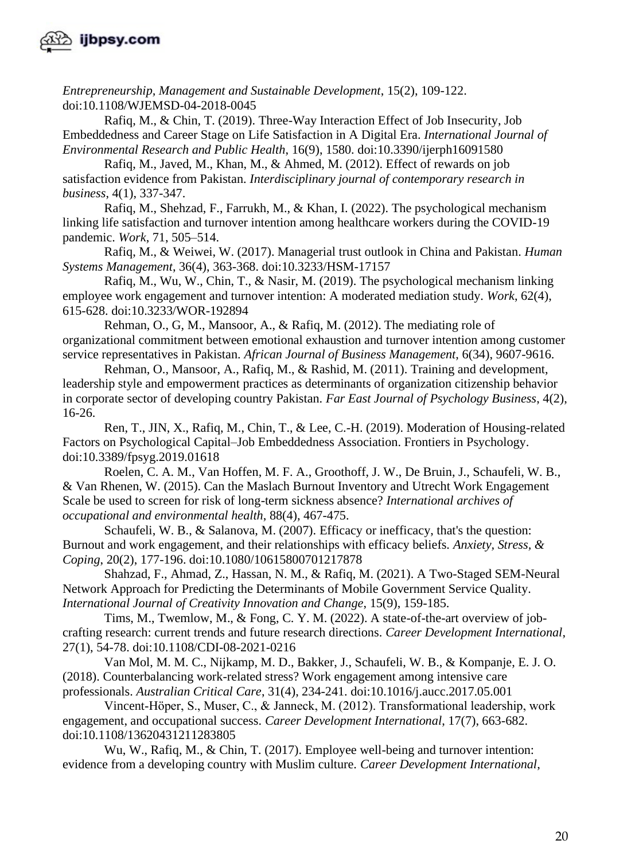

*Entrepreneurship, Management and Sustainable Development*, 15(2), 109-122. doi:10.1108/WJEMSD-04-2018-0045

Rafiq, M., & Chin, T. (2019). Three-Way Interaction Effect of Job Insecurity, Job Embeddedness and Career Stage on Life Satisfaction in A Digital Era. *International Journal of Environmental Research and Public Health*, 16(9), 1580. doi:10.3390/ijerph16091580

Rafiq, M., Javed, M., Khan, M., & Ahmed, M. (2012). Effect of rewards on job satisfaction evidence from Pakistan. *Interdisciplinary journal of contemporary research in business*, 4(1), 337-347.

Rafiq, M., Shehzad, F., Farrukh, M., & Khan, I. (2022). The psychological mechanism linking life satisfaction and turnover intention among healthcare workers during the COVID-19 pandemic. *Work*, 71, 505–514.

Rafiq, M., & Weiwei, W. (2017). Managerial trust outlook in China and Pakistan. *Human Systems Management*, 36(4), 363-368. doi:10.3233/HSM-17157

Rafiq, M., Wu, W., Chin, T., & Nasir, M. (2019). The psychological mechanism linking employee work engagement and turnover intention: A moderated mediation study. *Work*, 62(4), 615-628. doi:10.3233/WOR-192894

Rehman, O., G, M., Mansoor, A., & Rafiq, M. (2012). The mediating role of organizational commitment between emotional exhaustion and turnover intention among customer service representatives in Pakistan. *African Journal of Business Management*, 6(34), 9607-9616.

Rehman, O., Mansoor, A., Rafiq, M., & Rashid, M. (2011). Training and development, leadership style and empowerment practices as determinants of organization citizenship behavior in corporate sector of developing country Pakistan. *Far East Journal of Psychology Business*, 4(2), 16-26.

Ren, T., JIN, X., Rafiq, M., Chin, T., & Lee, C.-H. (2019). Moderation of Housing-related Factors on Psychological Capital–Job Embeddedness Association. Frontiers in Psychology. doi:10.3389/fpsyg.2019.01618

Roelen, C. A. M., Van Hoffen, M. F. A., Groothoff, J. W., De Bruin, J., Schaufeli, W. B., & Van Rhenen, W. (2015). Can the Maslach Burnout Inventory and Utrecht Work Engagement Scale be used to screen for risk of long-term sickness absence? *International archives of occupational and environmental health*, 88(4), 467-475.

Schaufeli, W. B., & Salanova, M. (2007). Efficacy or inefficacy, that's the question: Burnout and work engagement, and their relationships with efficacy beliefs*. Anxiety, Stress, & Coping*, 20(2), 177-196. doi:10.1080/10615800701217878

Shahzad, F., Ahmad, Z., Hassan, N. M., & Rafiq, M. (2021). A Two-Staged SEM-Neural Network Approach for Predicting the Determinants of Mobile Government Service Quality. *International Journal of Creativity Innovation and Change*, 15(9), 159-185.

Tims, M., Twemlow, M., & Fong, C. Y. M. (2022). A state-of-the-art overview of jobcrafting research: current trends and future research directions. *Career Development International*, 27(1), 54-78. doi:10.1108/CDI-08-2021-0216

Van Mol, M. M. C., Nijkamp, M. D., Bakker, J., Schaufeli, W. B., & Kompanje, E. J. O. (2018). Counterbalancing work-related stress? Work engagement among intensive care professionals. *Australian Critical Care*, 31(4), 234-241. doi:10.1016/j.aucc.2017.05.001

Vincent‐Höper, S., Muser, C., & Janneck, M. (2012). Transformational leadership, work engagement, and occupational success. *Career Development International*, 17(7), 663-682. doi:10.1108/13620431211283805

Wu, W., Rafiq, M., & Chin, T. (2017). Employee well-being and turnover intention: evidence from a developing country with Muslim culture. *Career Development International*,